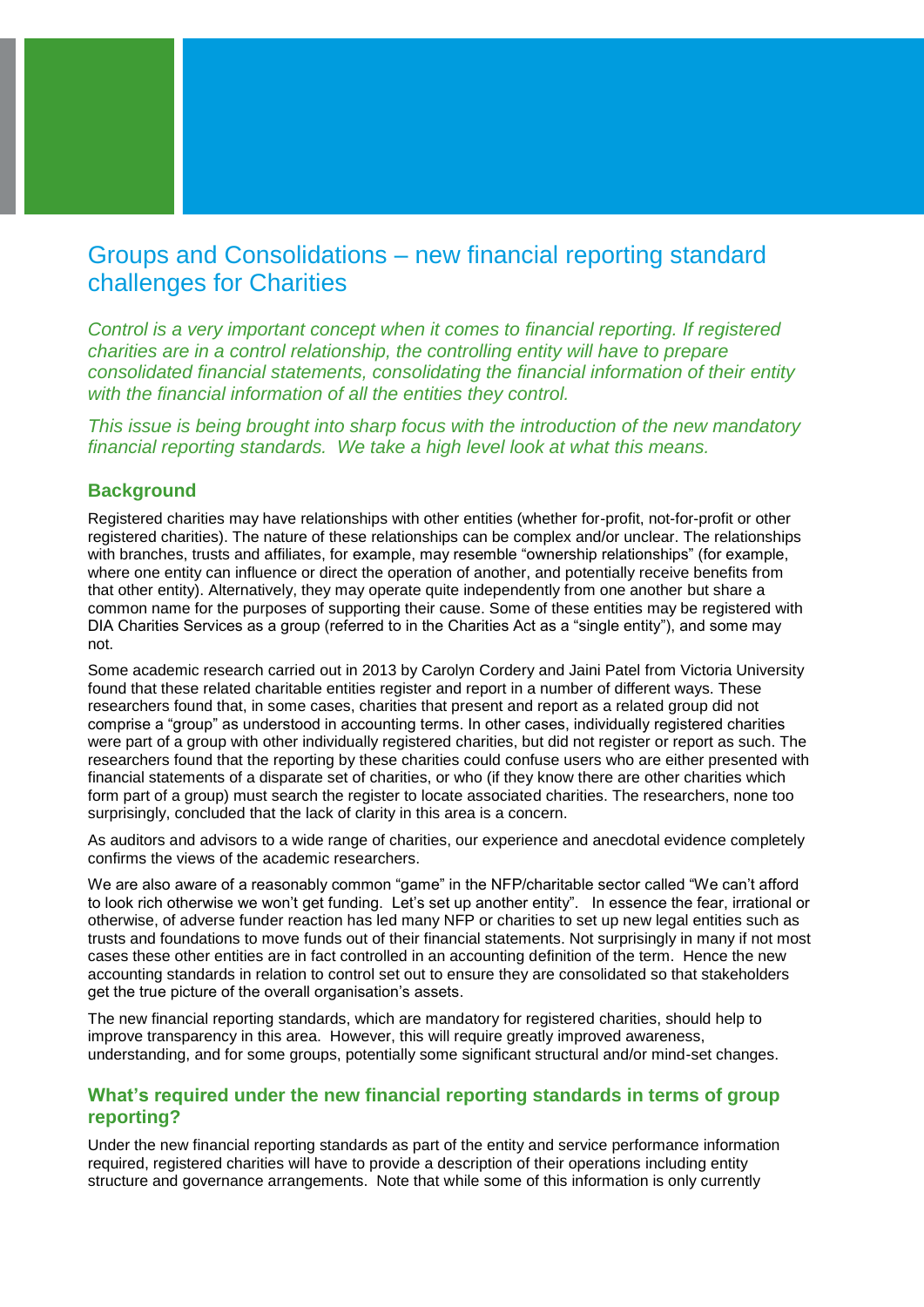# Groups and Consolidations – new financial reporting standard challenges for Charities

*Control is a very important concept when it comes to financial reporting. If registered charities are in a control relationship, the controlling entity will have to prepare consolidated financial statements, consolidating the financial information of their entity with the financial information of all the entities they control.* 

*This issue is being brought into sharp focus with the introduction of the new mandatory financial reporting standards. We take a high level look at what this means.*

### **Background**

Registered charities may have relationships with other entities (whether for-profit, not-for-profit or other registered charities). The nature of these relationships can be complex and/or unclear. The relationships with branches, trusts and affiliates, for example, may resemble "ownership relationships" (for example, where one entity can influence or direct the operation of another, and potentially receive benefits from that other entity). Alternatively, they may operate quite independently from one another but share a common name for the purposes of supporting their cause. Some of these entities may be registered with DIA Charities Services as a group (referred to in the Charities Act as a "single entity"), and some may not.

Some academic research carried out in 2013 by Carolyn Cordery and Jaini Patel from Victoria University found that these related charitable entities register and report in a number of different ways. These researchers found that, in some cases, charities that present and report as a related group did not comprise a "group" as understood in accounting terms. In other cases, individually registered charities were part of a group with other individually registered charities, but did not register or report as such. The researchers found that the reporting by these charities could confuse users who are either presented with financial statements of a disparate set of charities, or who (if they know there are other charities which form part of a group) must search the register to locate associated charities. The researchers, none too surprisingly, concluded that the lack of clarity in this area is a concern.

As auditors and advisors to a wide range of charities, our experience and anecdotal evidence completely confirms the views of the academic researchers.

We are also aware of a reasonably common "game" in the NFP/charitable sector called "We can't afford to look rich otherwise we won't get funding. Let's set up another entity". In essence the fear, irrational or otherwise, of adverse funder reaction has led many NFP or charities to set up new legal entities such as trusts and foundations to move funds out of their financial statements. Not surprisingly in many if not most cases these other entities are in fact controlled in an accounting definition of the term. Hence the new accounting standards in relation to control set out to ensure they are consolidated so that stakeholders get the true picture of the overall organisation's assets.

The new financial reporting standards, which are mandatory for registered charities, should help to improve transparency in this area. However, this will require greatly improved awareness, understanding, and for some groups, potentially some significant structural and/or mind-set changes.

## **What's required under the new financial reporting standards in terms of group reporting?**

Under the new financial reporting standards as part of the entity and service performance information required, registered charities will have to provide a description of their operations including entity structure and governance arrangements. Note that while some of this information is only currently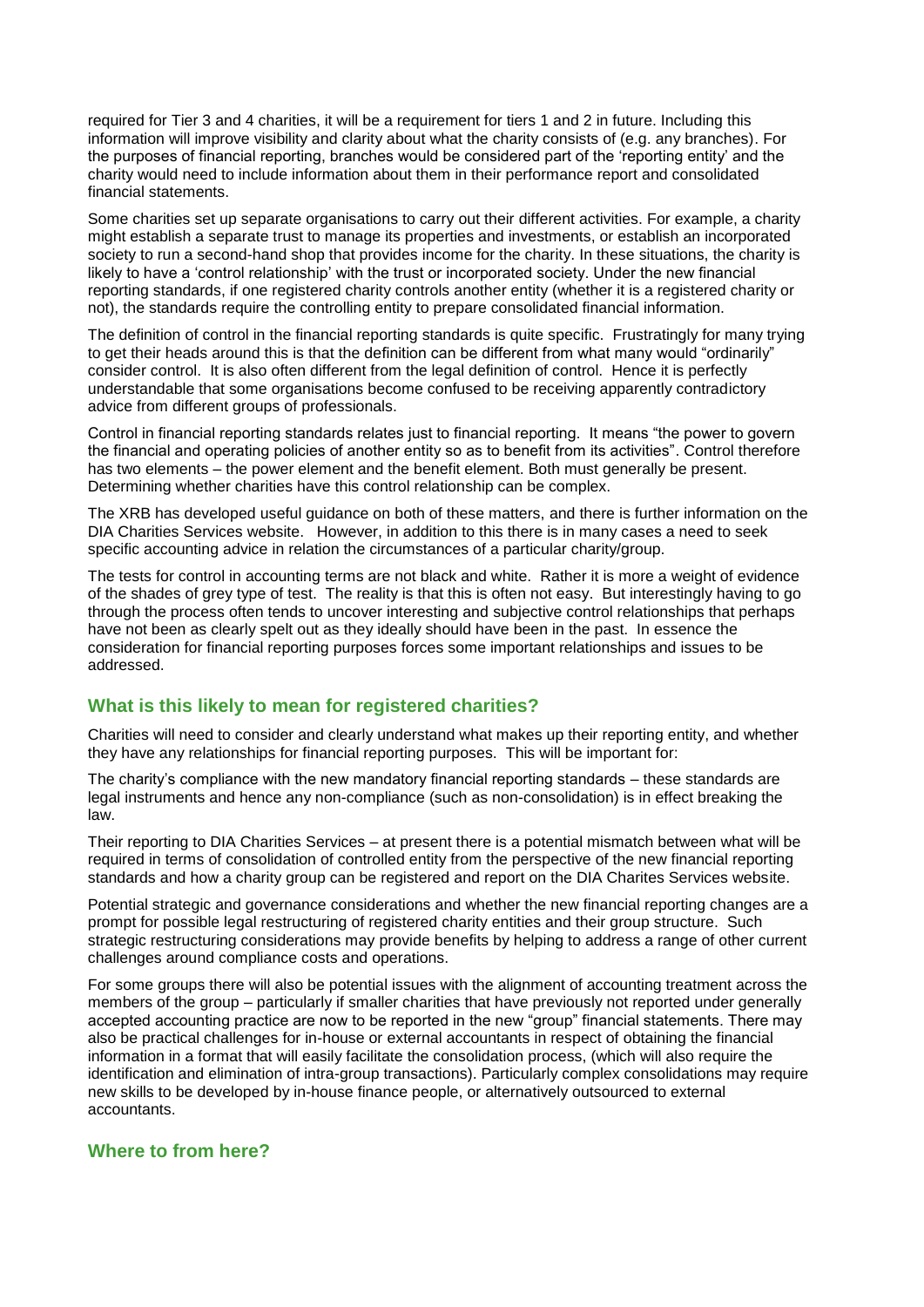required for Tier 3 and 4 charities, it will be a requirement for tiers 1 and 2 in future. Including this information will improve visibility and clarity about what the charity consists of (e.g. any branches). For the purposes of financial reporting, branches would be considered part of the 'reporting entity' and the charity would need to include information about them in their performance report and consolidated financial statements.

Some charities set up separate organisations to carry out their different activities. For example, a charity might establish a separate trust to manage its properties and investments, or establish an incorporated society to run a second-hand shop that provides income for the charity. In these situations, the charity is likely to have a 'control relationship' with the trust or incorporated society. Under the new financial reporting standards, if one registered charity controls another entity (whether it is a registered charity or not), the standards require the controlling entity to prepare consolidated financial information.

The definition of control in the financial reporting standards is quite specific. Frustratingly for many trying to get their heads around this is that the definition can be different from what many would "ordinarily" consider control. It is also often different from the legal definition of control. Hence it is perfectly understandable that some organisations become confused to be receiving apparently contradictory advice from different groups of professionals.

Control in financial reporting standards relates just to financial reporting. It means "the power to govern the financial and operating policies of another entity so as to benefit from its activities". Control therefore has two elements – the power element and the benefit element. Both must generally be present. Determining whether charities have this control relationship can be complex.

The XRB has developed useful guidance on both of these matters, and there is further information on the DIA Charities Services website. However, in addition to this there is in many cases a need to seek specific accounting advice in relation the circumstances of a particular charity/group.

The tests for control in accounting terms are not black and white. Rather it is more a weight of evidence of the shades of grey type of test. The reality is that this is often not easy. But interestingly having to go through the process often tends to uncover interesting and subjective control relationships that perhaps have not been as clearly spelt out as they ideally should have been in the past. In essence the consideration for financial reporting purposes forces some important relationships and issues to be addressed.

# **What is this likely to mean for registered charities?**

Charities will need to consider and clearly understand what makes up their reporting entity, and whether they have any relationships for financial reporting purposes. This will be important for:

The charity's compliance with the new mandatory financial reporting standards – these standards are legal instruments and hence any non-compliance (such as non-consolidation) is in effect breaking the law.

Their reporting to DIA Charities Services – at present there is a potential mismatch between what will be required in terms of consolidation of controlled entity from the perspective of the new financial reporting standards and how a charity group can be registered and report on the DIA Charites Services website.

Potential strategic and governance considerations and whether the new financial reporting changes are a prompt for possible legal restructuring of registered charity entities and their group structure. Such strategic restructuring considerations may provide benefits by helping to address a range of other current challenges around compliance costs and operations.

For some groups there will also be potential issues with the alignment of accounting treatment across the members of the group – particularly if smaller charities that have previously not reported under generally accepted accounting practice are now to be reported in the new "group" financial statements. There may also be practical challenges for in-house or external accountants in respect of obtaining the financial information in a format that will easily facilitate the consolidation process, (which will also require the identification and elimination of intra-group transactions). Particularly complex consolidations may require new skills to be developed by in-house finance people, or alternatively outsourced to external accountants.

### **Where to from here?**